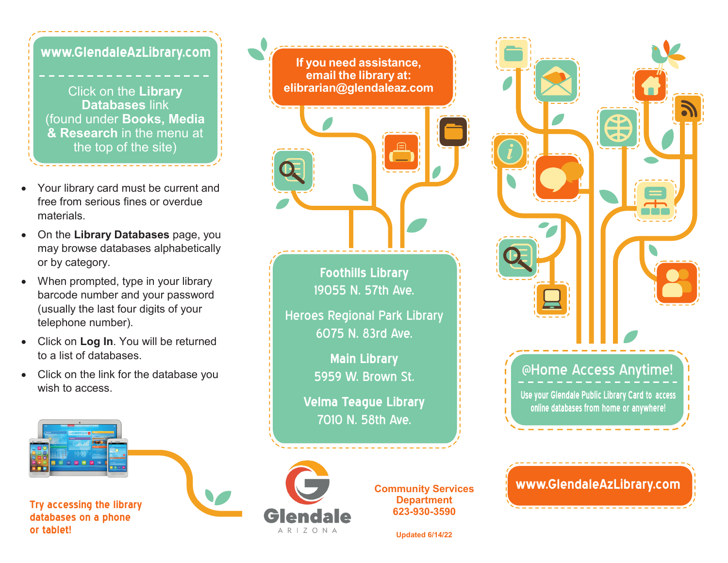**www.GlendaleAzLibrary.com**

Click on the **Library Databases** link (found under **Books, Media & Research** in the menu at the top of the site)

- Your library card must be current and free from serious fines or overdue materials.
- On the **Library Databases** page, you may browse databases alphabetically or by category.
- When prompted, type in your library barcode number and your password (usually the last four digits of your telephone number).
- Click on **Log In**. You will be returned to a list of databases.
- Click on the link for the database you wish to access.

**Try accessing the library databases on a phone or tablet!** 

<u>ام</u> **If you need assistance, email the library at: elibrarian@glendaleaz.com Foothills Library** 19055 N. 57th Ave. Heroes Regional Park Library 6075 N. 83rd Ave. **Main Library**  5959 W. Brown St. **Velma Teague Library** 7010 N. 58th Ave. **Community Services Department 623-930-3590** 

**Updated 6/14/22**

 $APIZONI$ 



@Home Access Anytime!

Use your Glendale Public Library Card to access online databases from home or anywhere!